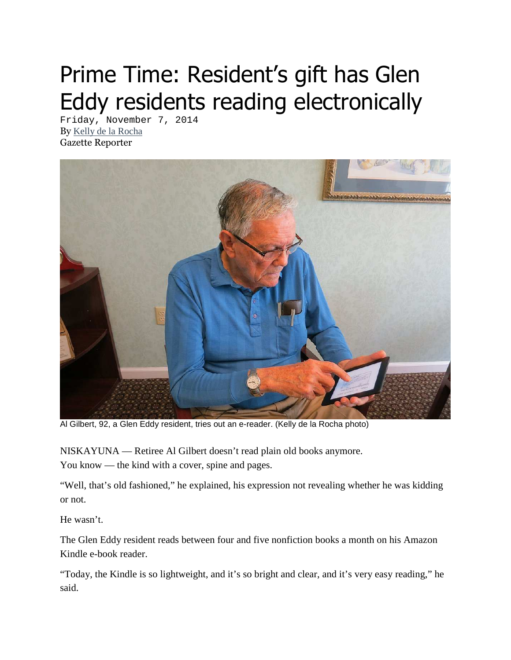## Prime Time: Resident's gift has Glen Eddy residents reading electronically

Friday, November 7, 2014 By Kelly de la Rocha Gazette Reporter



Al Gilbert, 92, a Glen Eddy resident, tries out an e-reader. (Kelly de la Rocha photo)

NISKAYUNA — Retiree Al Gilbert doesn't read plain old books anymore. You know — the kind with a cover, spine and pages.

"Well, that's old fashioned," he explained, his expression not revealing whether he was kidding or not.

He wasn't.

The Glen Eddy resident reads between four and five nonfiction books a month on his Amazon Kindle e-book reader.

"Today, the Kindle is so lightweight, and it's so bright and clear, and it's very easy reading," he said.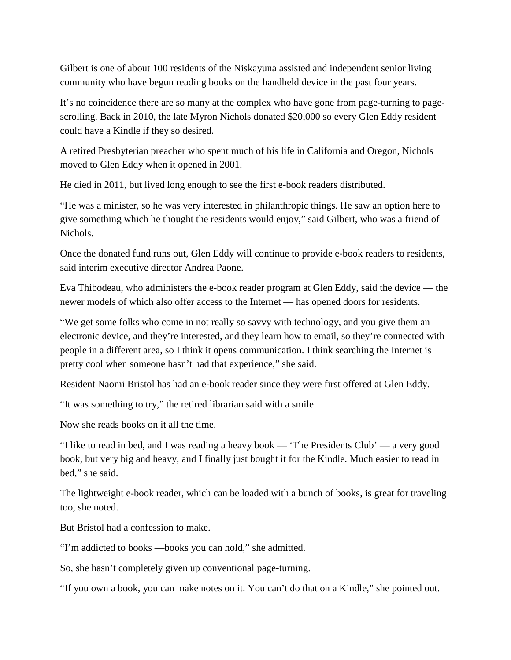Gilbert is one of about 100 residents of the Niskayuna assisted and independent senior living community who have begun reading books on the handheld device in the past four years.

It's no coincidence there are so many at the complex who have gone from page-turning to pagescrolling. Back in 2010, the late Myron Nichols donated \$20,000 so every Glen Eddy resident could have a Kindle if they so desired.

A retired Presbyterian preacher who spent much of his life in California and Oregon, Nichols moved to Glen Eddy when it opened in 2001.

He died in 2011, but lived long enough to see the first e-book readers distributed.

"He was a minister, so he was very interested in philanthropic things. He saw an option here to give something which he thought the residents would enjoy," said Gilbert, who was a friend of Nichols.

Once the donated fund runs out, Glen Eddy will continue to provide e-book readers to residents, said interim executive director Andrea Paone.

Eva Thibodeau, who administers the e-book reader program at Glen Eddy, said the device — the newer models of which also offer access to the Internet — has opened doors for residents.

"We get some folks who come in not really so savvy with technology, and you give them an electronic device, and they're interested, and they learn how to email, so they're connected with people in a different area, so I think it opens communication. I think searching the Internet is pretty cool when someone hasn't had that experience," she said.

Resident Naomi Bristol has had an e-book reader since they were first offered at Glen Eddy.

"It was something to try," the retired librarian said with a smile.

Now she reads books on it all the time.

"I like to read in bed, and I was reading a heavy book — 'The Presidents Club' — a very good book, but very big and heavy, and I finally just bought it for the Kindle. Much easier to read in bed," she said.

The lightweight e-book reader, which can be loaded with a bunch of books, is great for traveling too, she noted.

But Bristol had a confession to make.

"I'm addicted to books —books you can hold," she admitted.

So, she hasn't completely given up conventional page-turning.

"If you own a book, you can make notes on it. You can't do that on a Kindle," she pointed out.